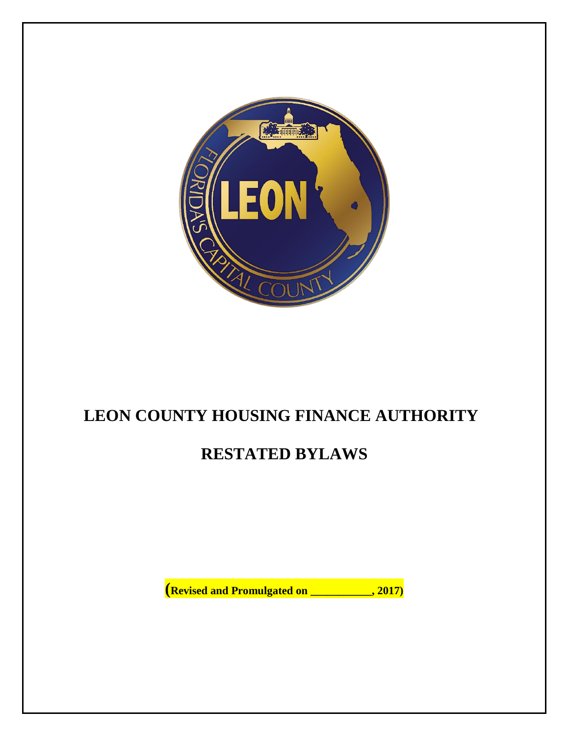

# **LEON COUNTY HOUSING FINANCE AUTHORITY**

# **RESTATED BYLAWS**

**(Revised and Promulgated on \_\_\_\_\_\_\_\_\_\_\_, 2017)**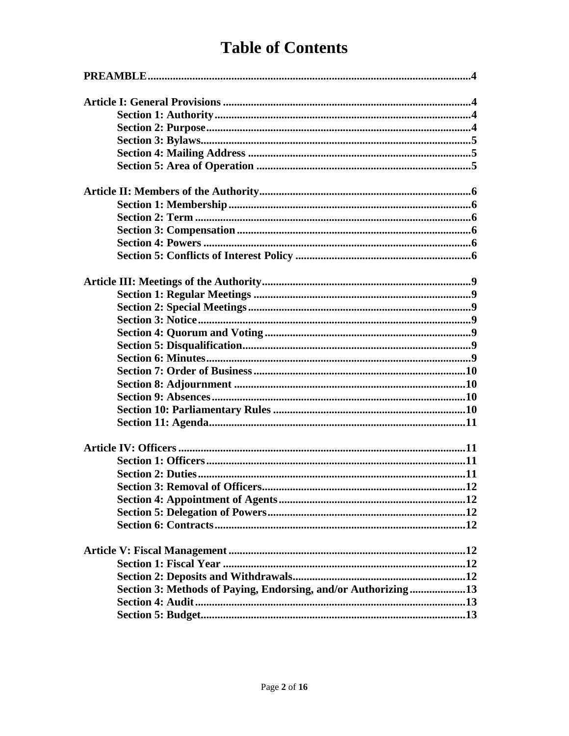# **Table of Contents**

| Section 3: Methods of Paying, Endorsing, and/or Authorizing13 |
|---------------------------------------------------------------|
|                                                               |
|                                                               |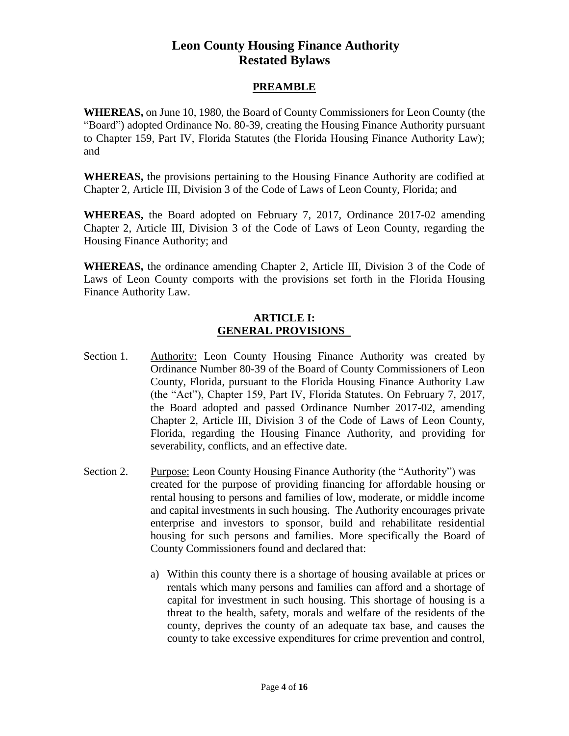# **Leon County Housing Finance Authority Restated Bylaws**

# **PREAMBLE**

**WHEREAS,** on June 10, 1980, the Board of County Commissioners for Leon County (the "Board") adopted Ordinance No. 80-39, creating the Housing Finance Authority pursuant to Chapter 159, Part IV, Florida Statutes (the Florida Housing Finance Authority Law); and

**WHEREAS,** the provisions pertaining to the Housing Finance Authority are codified at Chapter 2, Article III, Division 3 of the Code of Laws of Leon County, Florida; and

**WHEREAS,** the Board adopted on February 7, 2017, Ordinance 2017-02 amending Chapter 2, Article III, Division 3 of the Code of Laws of Leon County, regarding the Housing Finance Authority; and

**WHEREAS,** the ordinance amending Chapter 2, Article III, Division 3 of the Code of Laws of Leon County comports with the provisions set forth in the Florida Housing Finance Authority Law.

### **ARTICLE I: GENERAL PROVISIONS**

- Section 1. Authority: Leon County Housing Finance Authority was created by Ordinance Number 80-39 of the Board of County Commissioners of Leon County, Florida, pursuant to the Florida Housing Finance Authority Law (the "Act"), Chapter 159, Part IV, Florida Statutes. On February 7, 2017, the Board adopted and passed Ordinance Number 2017-02, amending Chapter 2, Article III, Division 3 of the Code of Laws of Leon County, Florida, regarding the Housing Finance Authority, and providing for severability, conflicts, and an effective date.
- Section 2. Purpose: Leon County Housing Finance Authority (the "Authority") was created for the purpose of providing financing for affordable housing or rental housing to persons and families of low, moderate, or middle income and capital investments in such housing. The Authority encourages private enterprise and investors to sponsor, build and rehabilitate residential housing for such persons and families. More specifically the Board of County Commissioners found and declared that:
	- a) Within this county there is a shortage of housing available at prices or rentals which many persons and families can afford and a shortage of capital for investment in such housing. This shortage of housing is a threat to the health, safety, morals and welfare of the residents of the county, deprives the county of an adequate tax base, and causes the county to take excessive expenditures for crime prevention and control,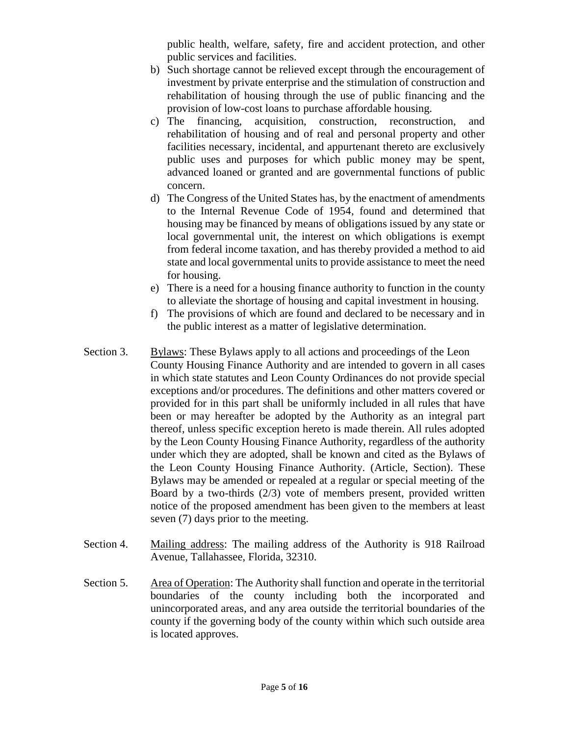public health, welfare, safety, fire and accident protection, and other public services and facilities.

- b) Such shortage cannot be relieved except through the encouragement of investment by private enterprise and the stimulation of construction and rehabilitation of housing through the use of public financing and the provision of low-cost loans to purchase affordable housing.
- c) The financing, acquisition, construction, reconstruction, and rehabilitation of housing and of real and personal property and other facilities necessary, incidental, and appurtenant thereto are exclusively public uses and purposes for which public money may be spent, advanced loaned or granted and are governmental functions of public concern.
- d) The Congress of the United States has, by the enactment of amendments to the Internal Revenue Code of 1954, found and determined that housing may be financed by means of obligations issued by any state or local governmental unit, the interest on which obligations is exempt from federal income taxation, and has thereby provided a method to aid state and local governmental units to provide assistance to meet the need for housing.
- e) There is a need for a housing finance authority to function in the county to alleviate the shortage of housing and capital investment in housing.
- f) The provisions of which are found and declared to be necessary and in the public interest as a matter of legislative determination.
- Section 3. Bylaws: These Bylaws apply to all actions and proceedings of the Leon County Housing Finance Authority and are intended to govern in all cases in which state statutes and Leon County Ordinances do not provide special exceptions and/or procedures. The definitions and other matters covered or provided for in this part shall be uniformly included in all rules that have been or may hereafter be adopted by the Authority as an integral part thereof, unless specific exception hereto is made therein. All rules adopted by the Leon County Housing Finance Authority, regardless of the authority under which they are adopted, shall be known and cited as the Bylaws of the Leon County Housing Finance Authority. (Article, Section). These Bylaws may be amended or repealed at a regular or special meeting of the Board by a two-thirds (2/3) vote of members present, provided written notice of the proposed amendment has been given to the members at least seven (7) days prior to the meeting.
- Section 4. Mailing address: The mailing address of the Authority is 918 Railroad Avenue, Tallahassee, Florida, 32310.
- Section 5. Area of Operation: The Authority shall function and operate in the territorial boundaries of the county including both the incorporated and unincorporated areas, and any area outside the territorial boundaries of the county if the governing body of the county within which such outside area is located approves.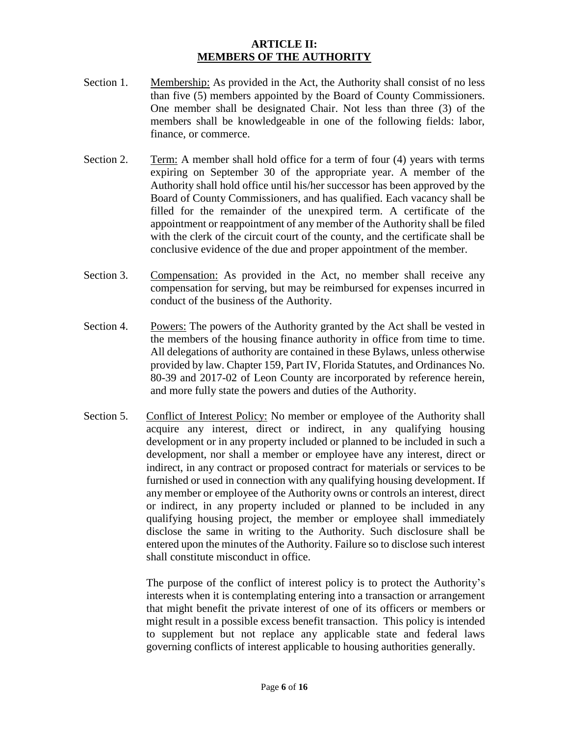### **ARTICLE II: MEMBERS OF THE AUTHORITY**

- Section 1. Membership: As provided in the Act, the Authority shall consist of no less than five (5) members appointed by the Board of County Commissioners. One member shall be designated Chair. Not less than three (3) of the members shall be knowledgeable in one of the following fields: labor, finance, or commerce.
- Section 2. Term: A member shall hold office for a term of four (4) years with terms expiring on September 30 of the appropriate year. A member of the Authority shall hold office until his/her successor has been approved by the Board of County Commissioners, and has qualified. Each vacancy shall be filled for the remainder of the unexpired term. A certificate of the appointment or reappointment of any member of the Authority shall be filed with the clerk of the circuit court of the county, and the certificate shall be conclusive evidence of the due and proper appointment of the member.
- Section 3. Compensation: As provided in the Act, no member shall receive any compensation for serving, but may be reimbursed for expenses incurred in conduct of the business of the Authority.
- Section 4. Powers: The powers of the Authority granted by the Act shall be vested in the members of the housing finance authority in office from time to time. All delegations of authority are contained in these Bylaws, unless otherwise provided by law. Chapter 159, Part IV, Florida Statutes, and Ordinances No. 80-39 and 2017-02 of Leon County are incorporated by reference herein, and more fully state the powers and duties of the Authority.
- Section 5. Conflict of Interest Policy: No member or employee of the Authority shall acquire any interest, direct or indirect, in any qualifying housing development or in any property included or planned to be included in such a development, nor shall a member or employee have any interest, direct or indirect, in any contract or proposed contract for materials or services to be furnished or used in connection with any qualifying housing development. If any member or employee of the Authority owns or controls an interest, direct or indirect, in any property included or planned to be included in any qualifying housing project, the member or employee shall immediately disclose the same in writing to the Authority. Such disclosure shall be entered upon the minutes of the Authority. Failure so to disclose such interest shall constitute misconduct in office.

The purpose of the conflict of interest policy is to protect the Authority's interests when it is contemplating entering into a transaction or arrangement that might benefit the private interest of one of its officers or members or might result in a possible excess benefit transaction. This policy is intended to supplement but not replace any applicable state and federal laws governing conflicts of interest applicable to housing authorities generally.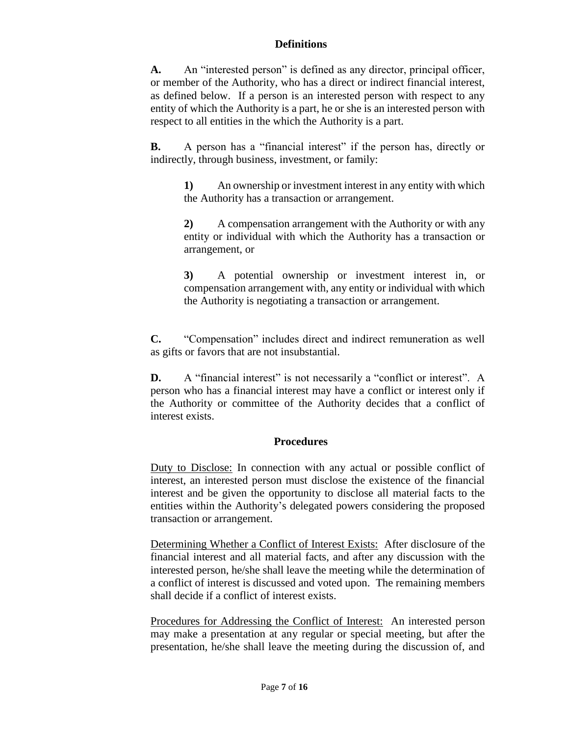### **Definitions**

**A.** An "interested person" is defined as any director, principal officer, or member of the Authority, who has a direct or indirect financial interest, as defined below. If a person is an interested person with respect to any entity of which the Authority is a part, he or she is an interested person with respect to all entities in the which the Authority is a part.

**B.** A person has a "financial interest" if the person has, directly or indirectly, through business, investment, or family:

**1)** An ownership or investment interest in any entity with which the Authority has a transaction or arrangement.

**2)** A compensation arrangement with the Authority or with any entity or individual with which the Authority has a transaction or arrangement, or

**3)** A potential ownership or investment interest in, or compensation arrangement with, any entity or individual with which the Authority is negotiating a transaction or arrangement.

**C.** "Compensation" includes direct and indirect remuneration as well as gifts or favors that are not insubstantial.

**D.** A "financial interest" is not necessarily a "conflict or interest". A person who has a financial interest may have a conflict or interest only if the Authority or committee of the Authority decides that a conflict of interest exists.

## **Procedures**

Duty to Disclose: In connection with any actual or possible conflict of interest, an interested person must disclose the existence of the financial interest and be given the opportunity to disclose all material facts to the entities within the Authority's delegated powers considering the proposed transaction or arrangement.

Determining Whether a Conflict of Interest Exists: After disclosure of the financial interest and all material facts, and after any discussion with the interested person, he/she shall leave the meeting while the determination of a conflict of interest is discussed and voted upon. The remaining members shall decide if a conflict of interest exists.

Procedures for Addressing the Conflict of Interest: An interested person may make a presentation at any regular or special meeting, but after the presentation, he/she shall leave the meeting during the discussion of, and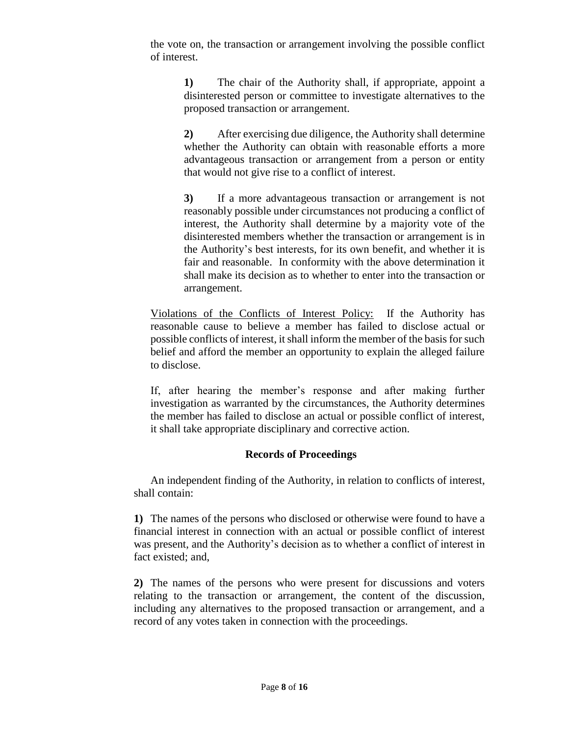the vote on, the transaction or arrangement involving the possible conflict of interest.

> **1)** The chair of the Authority shall, if appropriate, appoint a disinterested person or committee to investigate alternatives to the proposed transaction or arrangement.

> **2)** After exercising due diligence, the Authority shall determine whether the Authority can obtain with reasonable efforts a more advantageous transaction or arrangement from a person or entity that would not give rise to a conflict of interest.

> **3)** If a more advantageous transaction or arrangement is not reasonably possible under circumstances not producing a conflict of interest, the Authority shall determine by a majority vote of the disinterested members whether the transaction or arrangement is in the Authority's best interests, for its own benefit, and whether it is fair and reasonable. In conformity with the above determination it shall make its decision as to whether to enter into the transaction or arrangement.

Violations of the Conflicts of Interest Policy: If the Authority has reasonable cause to believe a member has failed to disclose actual or possible conflicts of interest, it shall inform the member of the basis for such belief and afford the member an opportunity to explain the alleged failure to disclose.

If, after hearing the member's response and after making further investigation as warranted by the circumstances, the Authority determines the member has failed to disclose an actual or possible conflict of interest, it shall take appropriate disciplinary and corrective action.

## **Records of Proceedings**

An independent finding of the Authority, in relation to conflicts of interest, shall contain:

**1)** The names of the persons who disclosed or otherwise were found to have a financial interest in connection with an actual or possible conflict of interest was present, and the Authority's decision as to whether a conflict of interest in fact existed; and,

**2)** The names of the persons who were present for discussions and voters relating to the transaction or arrangement, the content of the discussion, including any alternatives to the proposed transaction or arrangement, and a record of any votes taken in connection with the proceedings.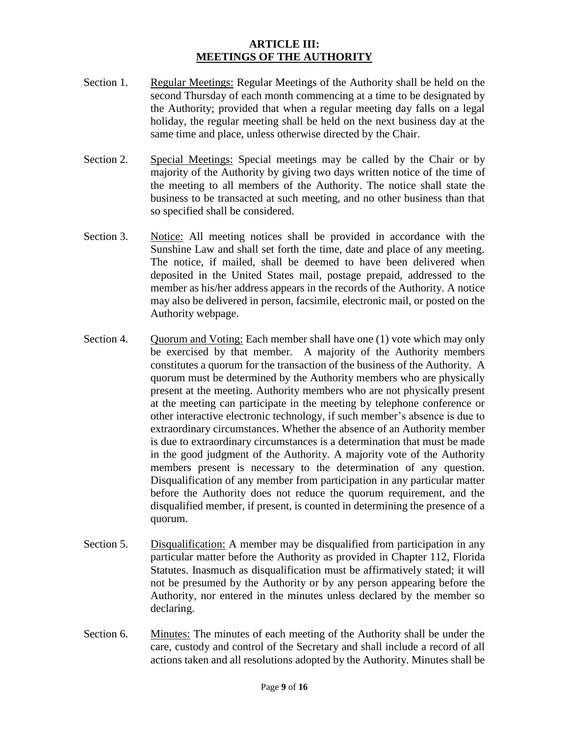### **ARTICLE III: MEETINGS OF THE AUTHORITY**

- Section 1. Regular Meetings: Regular Meetings of the Authority shall be held on the second Thursday of each month commencing at a time to be designated by the Authority; provided that when a regular meeting day falls on a legal holiday, the regular meeting shall be held on the next business day at the same time and place, unless otherwise directed by the Chair.
- Section 2. Special Meetings: Special meetings may be called by the Chair or by majority of the Authority by giving two days written notice of the time of the meeting to all members of the Authority. The notice shall state the business to be transacted at such meeting, and no other business than that so specified shall be considered.
- Section 3. Notice: All meeting notices shall be provided in accordance with the Sunshine Law and shall set forth the time, date and place of any meeting. The notice, if mailed, shall be deemed to have been delivered when deposited in the United States mail, postage prepaid, addressed to the member as his/her address appears in the records of the Authority. A notice may also be delivered in person, facsimile, electronic mail, or posted on the Authority webpage.
- Section 4. Quorum and Voting: Each member shall have one (1) vote which may only be exercised by that member. A majority of the Authority members constitutes a quorum for the transaction of the business of the Authority. A quorum must be determined by the Authority members who are physically present at the meeting. Authority members who are not physically present at the meeting can participate in the meeting by telephone conference or other interactive electronic technology, if such member's absence is due to extraordinary circumstances. Whether the absence of an Authority member is due to extraordinary circumstances is a determination that must be made in the good judgment of the Authority. A majority vote of the Authority members present is necessary to the determination of any question. Disqualification of any member from participation in any particular matter before the Authority does not reduce the quorum requirement, and the disqualified member, if present, is counted in determining the presence of a quorum.
- Section 5. Disqualification: A member may be disqualified from participation in any particular matter before the Authority as provided in Chapter 112, Florida Statutes. Inasmuch as disqualification must be affirmatively stated; it will not be presumed by the Authority or by any person appearing before the Authority, nor entered in the minutes unless declared by the member so declaring.
- Section 6. Minutes: The minutes of each meeting of the Authority shall be under the care, custody and control of the Secretary and shall include a record of all actions taken and all resolutions adopted by the Authority. Minutes shall be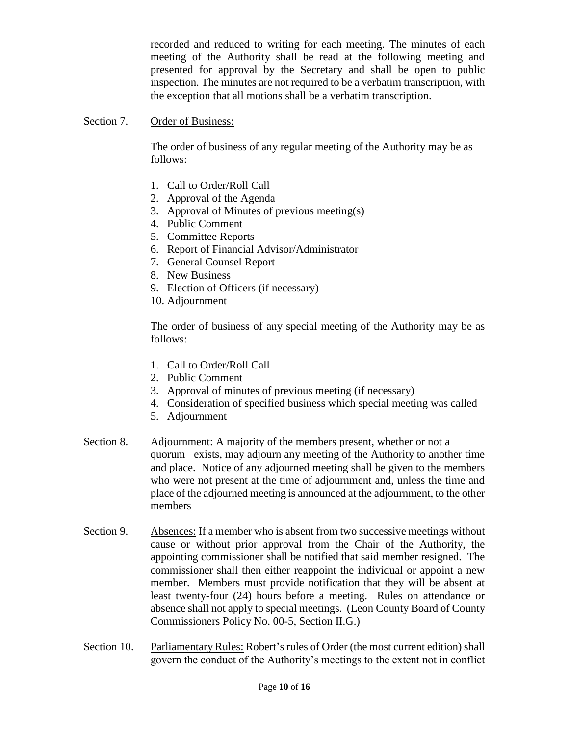recorded and reduced to writing for each meeting. The minutes of each meeting of the Authority shall be read at the following meeting and presented for approval by the Secretary and shall be open to public inspection. The minutes are not required to be a verbatim transcription, with the exception that all motions shall be a verbatim transcription.

### Section 7. Order of Business:

The order of business of any regular meeting of the Authority may be as follows:

- 1. Call to Order/Roll Call
- 2. Approval of the Agenda
- 3. Approval of Minutes of previous meeting(s)
- 4. Public Comment
- 5. Committee Reports
- 6. Report of Financial Advisor/Administrator
- 7. General Counsel Report
- 8. New Business
- 9. Election of Officers (if necessary)
- 10. Adjournment

The order of business of any special meeting of the Authority may be as follows:

- 1. Call to Order/Roll Call
- 2. Public Comment
- 3. Approval of minutes of previous meeting (if necessary)
- 4. Consideration of specified business which special meeting was called
- 5. Adjournment
- Section 8. Adjournment: A majority of the members present, whether or not a quorum exists, may adjourn any meeting of the Authority to another time and place. Notice of any adjourned meeting shall be given to the members who were not present at the time of adjournment and, unless the time and place of the adjourned meeting is announced at the adjournment, to the other members
- Section 9. Absences: If a member who is absent from two successive meetings without cause or without prior approval from the Chair of the Authority, the appointing commissioner shall be notified that said member resigned. The commissioner shall then either reappoint the individual or appoint a new member. Members must provide notification that they will be absent at least twenty-four (24) hours before a meeting. Rules on attendance or absence shall not apply to special meetings. (Leon County Board of County Commissioners Policy No. 00-5, Section II.G.)
- Section 10. Parliamentary Rules: Robert's rules of Order (the most current edition) shall govern the conduct of the Authority's meetings to the extent not in conflict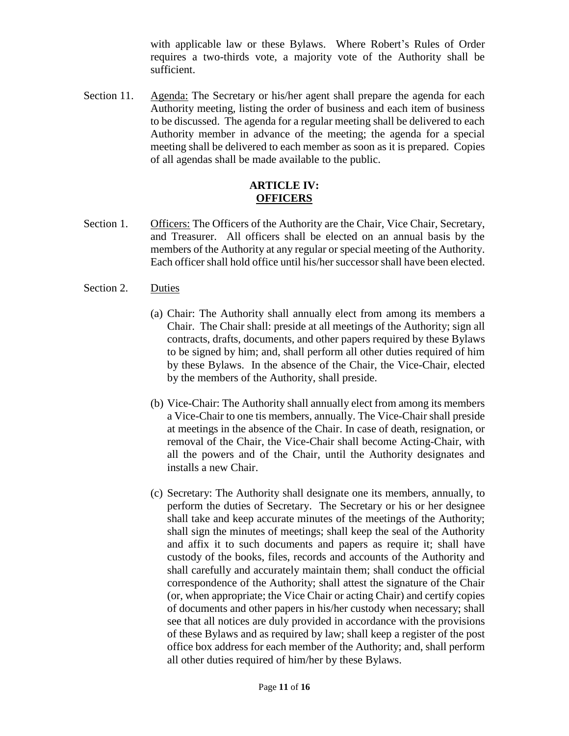with applicable law or these Bylaws. Where Robert's Rules of Order requires a two-thirds vote, a majority vote of the Authority shall be sufficient.

Section 11. Agenda: The Secretary or his/her agent shall prepare the agenda for each Authority meeting, listing the order of business and each item of business to be discussed. The agenda for a regular meeting shall be delivered to each Authority member in advance of the meeting; the agenda for a special meeting shall be delivered to each member as soon as it is prepared. Copies of all agendas shall be made available to the public.

#### **ARTICLE IV: OFFICERS**

Section 1. Officers: The Officers of the Authority are the Chair, Vice Chair, Secretary, and Treasurer. All officers shall be elected on an annual basis by the members of the Authority at any regular or special meeting of the Authority. Each officer shall hold office until his/her successor shall have been elected.

#### Section 2. Duties

- (a) Chair: The Authority shall annually elect from among its members a Chair. The Chair shall: preside at all meetings of the Authority; sign all contracts, drafts, documents, and other papers required by these Bylaws to be signed by him; and, shall perform all other duties required of him by these Bylaws. In the absence of the Chair, the Vice-Chair, elected by the members of the Authority, shall preside.
- (b) Vice-Chair: The Authority shall annually elect from among its members a Vice-Chair to one tis members, annually. The Vice-Chair shall preside at meetings in the absence of the Chair. In case of death, resignation, or removal of the Chair, the Vice-Chair shall become Acting-Chair, with all the powers and of the Chair, until the Authority designates and installs a new Chair.
- (c) Secretary: The Authority shall designate one its members, annually, to perform the duties of Secretary. The Secretary or his or her designee shall take and keep accurate minutes of the meetings of the Authority; shall sign the minutes of meetings; shall keep the seal of the Authority and affix it to such documents and papers as require it; shall have custody of the books, files, records and accounts of the Authority and shall carefully and accurately maintain them; shall conduct the official correspondence of the Authority; shall attest the signature of the Chair (or, when appropriate; the Vice Chair or acting Chair) and certify copies of documents and other papers in his/her custody when necessary; shall see that all notices are duly provided in accordance with the provisions of these Bylaws and as required by law; shall keep a register of the post office box address for each member of the Authority; and, shall perform all other duties required of him/her by these Bylaws.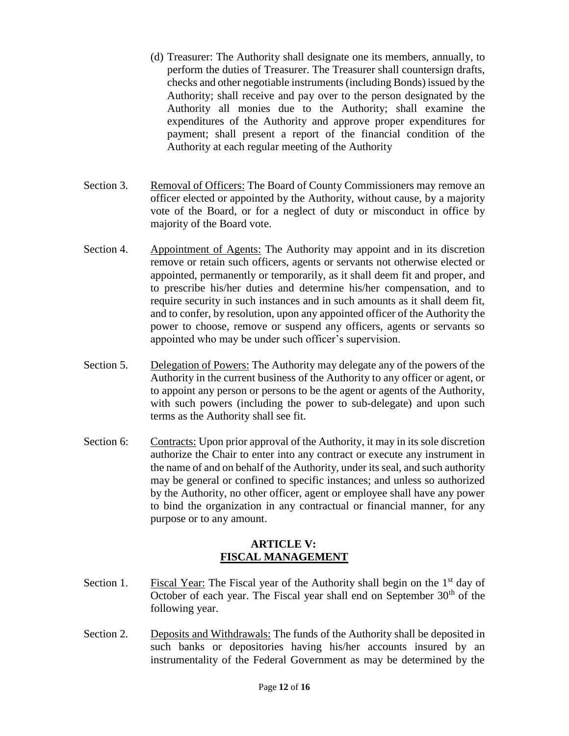- (d) Treasurer: The Authority shall designate one its members, annually, to perform the duties of Treasurer. The Treasurer shall countersign drafts, checks and other negotiable instruments (including Bonds) issued by the Authority; shall receive and pay over to the person designated by the Authority all monies due to the Authority; shall examine the expenditures of the Authority and approve proper expenditures for payment; shall present a report of the financial condition of the Authority at each regular meeting of the Authority
- Section 3. Removal of Officers: The Board of County Commissioners may remove an officer elected or appointed by the Authority, without cause, by a majority vote of the Board, or for a neglect of duty or misconduct in office by majority of the Board vote.
- Section 4. Appointment of Agents: The Authority may appoint and in its discretion remove or retain such officers, agents or servants not otherwise elected or appointed, permanently or temporarily, as it shall deem fit and proper, and to prescribe his/her duties and determine his/her compensation, and to require security in such instances and in such amounts as it shall deem fit, and to confer, by resolution, upon any appointed officer of the Authority the power to choose, remove or suspend any officers, agents or servants so appointed who may be under such officer's supervision.
- Section 5. Delegation of Powers: The Authority may delegate any of the powers of the Authority in the current business of the Authority to any officer or agent, or to appoint any person or persons to be the agent or agents of the Authority, with such powers (including the power to sub-delegate) and upon such terms as the Authority shall see fit.
- Section 6: Contracts: Upon prior approval of the Authority, it may in its sole discretion authorize the Chair to enter into any contract or execute any instrument in the name of and on behalf of the Authority, under its seal, and such authority may be general or confined to specific instances; and unless so authorized by the Authority, no other officer, agent or employee shall have any power to bind the organization in any contractual or financial manner, for any purpose or to any amount.

#### **ARTICLE V: FISCAL MANAGEMENT**

- Section 1. Fiscal Year: The Fiscal year of the Authority shall begin on the  $1<sup>st</sup>$  day of October of each year. The Fiscal year shall end on September  $30<sup>th</sup>$  of the following year.
- Section 2. Deposits and Withdrawals: The funds of the Authority shall be deposited in such banks or depositories having his/her accounts insured by an instrumentality of the Federal Government as may be determined by the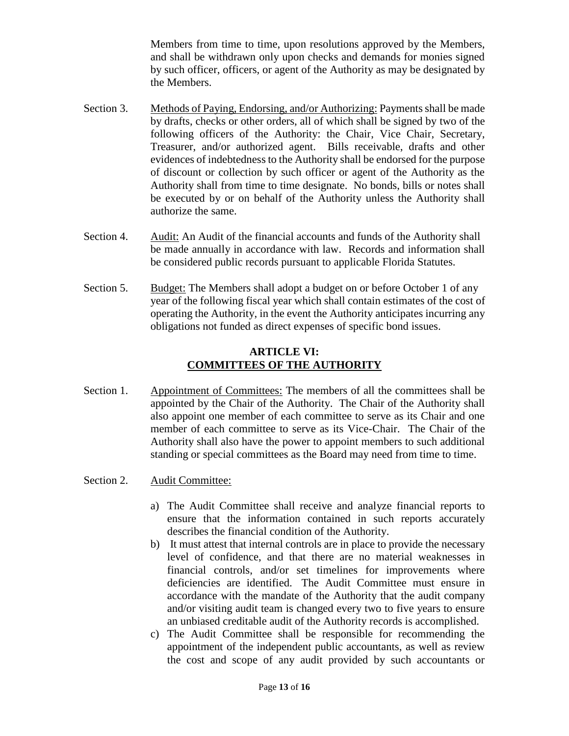Members from time to time, upon resolutions approved by the Members, and shall be withdrawn only upon checks and demands for monies signed by such officer, officers, or agent of the Authority as may be designated by the Members.

- Section 3. Methods of Paying, Endorsing, and/or Authorizing: Payments shall be made by drafts, checks or other orders, all of which shall be signed by two of the following officers of the Authority: the Chair, Vice Chair, Secretary, Treasurer, and/or authorized agent. Bills receivable, drafts and other evidences of indebtedness to the Authority shall be endorsed for the purpose of discount or collection by such officer or agent of the Authority as the Authority shall from time to time designate. No bonds, bills or notes shall be executed by or on behalf of the Authority unless the Authority shall authorize the same.
- Section 4. Audit: An Audit of the financial accounts and funds of the Authority shall be made annually in accordance with law. Records and information shall be considered public records pursuant to applicable Florida Statutes.
- Section 5. Budget: The Members shall adopt a budget on or before October 1 of any year of the following fiscal year which shall contain estimates of the cost of operating the Authority, in the event the Authority anticipates incurring any obligations not funded as direct expenses of specific bond issues.

## **ARTICLE VI: COMMITTEES OF THE AUTHORITY**

- Section 1. Appointment of Committees: The members of all the committees shall be appointed by the Chair of the Authority. The Chair of the Authority shall also appoint one member of each committee to serve as its Chair and one member of each committee to serve as its Vice-Chair. The Chair of the Authority shall also have the power to appoint members to such additional standing or special committees as the Board may need from time to time.
- Section 2. Audit Committee:
	- a) The Audit Committee shall receive and analyze financial reports to ensure that the information contained in such reports accurately describes the financial condition of the Authority.
	- b) It must attest that internal controls are in place to provide the necessary level of confidence, and that there are no material weaknesses in financial controls, and/or set timelines for improvements where deficiencies are identified. The Audit Committee must ensure in accordance with the mandate of the Authority that the audit company and/or visiting audit team is changed every two to five years to ensure an unbiased creditable audit of the Authority records is accomplished.
	- c) The Audit Committee shall be responsible for recommending the appointment of the independent public accountants, as well as review the cost and scope of any audit provided by such accountants or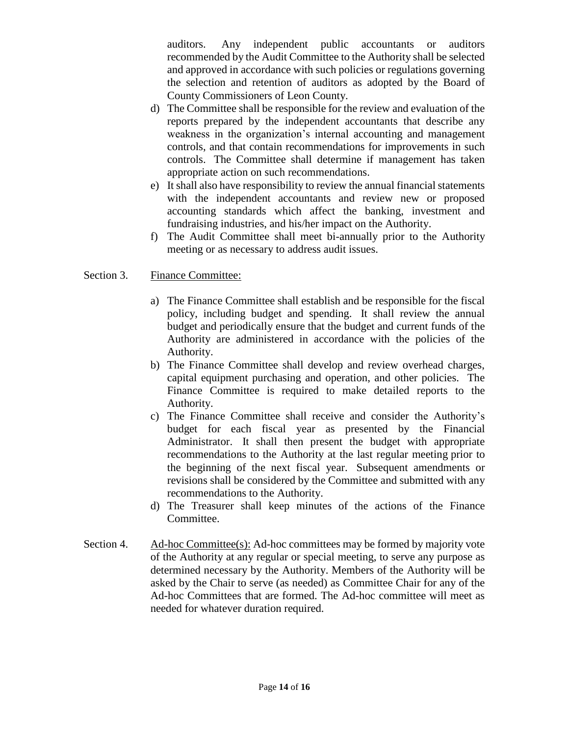auditors. Any independent public accountants or auditors recommended by the Audit Committee to the Authority shall be selected and approved in accordance with such policies or regulations governing the selection and retention of auditors as adopted by the Board of County Commissioners of Leon County.

- d) The Committee shall be responsible for the review and evaluation of the reports prepared by the independent accountants that describe any weakness in the organization's internal accounting and management controls, and that contain recommendations for improvements in such controls. The Committee shall determine if management has taken appropriate action on such recommendations.
- e) It shall also have responsibility to review the annual financial statements with the independent accountants and review new or proposed accounting standards which affect the banking, investment and fundraising industries, and his/her impact on the Authority.
- f) The Audit Committee shall meet bi-annually prior to the Authority meeting or as necessary to address audit issues.

#### Section 3. Finance Committee:

- a) The Finance Committee shall establish and be responsible for the fiscal policy, including budget and spending. It shall review the annual budget and periodically ensure that the budget and current funds of the Authority are administered in accordance with the policies of the Authority.
- b) The Finance Committee shall develop and review overhead charges, capital equipment purchasing and operation, and other policies. The Finance Committee is required to make detailed reports to the Authority.
- c) The Finance Committee shall receive and consider the Authority's budget for each fiscal year as presented by the Financial Administrator. It shall then present the budget with appropriate recommendations to the Authority at the last regular meeting prior to the beginning of the next fiscal year. Subsequent amendments or revisions shall be considered by the Committee and submitted with any recommendations to the Authority.
- d) The Treasurer shall keep minutes of the actions of the Finance Committee.
- Section 4. Ad-hoc Committee(s): Ad-hoc committees may be formed by majority vote of the Authority at any regular or special meeting, to serve any purpose as determined necessary by the Authority. Members of the Authority will be asked by the Chair to serve (as needed) as Committee Chair for any of the Ad-hoc Committees that are formed. The Ad-hoc committee will meet as needed for whatever duration required.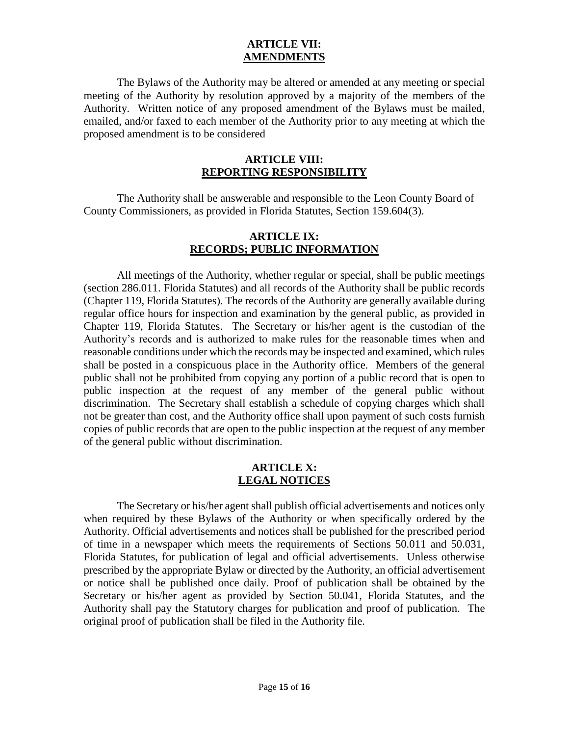#### **ARTICLE VII: AMENDMENTS**

The Bylaws of the Authority may be altered or amended at any meeting or special meeting of the Authority by resolution approved by a majority of the members of the Authority. Written notice of any proposed amendment of the Bylaws must be mailed, emailed, and/or faxed to each member of the Authority prior to any meeting at which the proposed amendment is to be considered

#### **ARTICLE VIII: REPORTING RESPONSIBILITY**

The Authority shall be answerable and responsible to the Leon County Board of County Commissioners, as provided in Florida Statutes, Section 159.604(3).

#### **ARTICLE IX: RECORDS; PUBLIC INFORMATION**

All meetings of the Authority, whether regular or special, shall be public meetings (section 286.011. Florida Statutes) and all records of the Authority shall be public records (Chapter 119, Florida Statutes). The records of the Authority are generally available during regular office hours for inspection and examination by the general public, as provided in Chapter 119, Florida Statutes. The Secretary or his/her agent is the custodian of the Authority's records and is authorized to make rules for the reasonable times when and reasonable conditions under which the records may be inspected and examined, which rules shall be posted in a conspicuous place in the Authority office. Members of the general public shall not be prohibited from copying any portion of a public record that is open to public inspection at the request of any member of the general public without discrimination. The Secretary shall establish a schedule of copying charges which shall not be greater than cost, and the Authority office shall upon payment of such costs furnish copies of public records that are open to the public inspection at the request of any member of the general public without discrimination.

#### **ARTICLE X: LEGAL NOTICES**

The Secretary or his/her agent shall publish official advertisements and notices only when required by these Bylaws of the Authority or when specifically ordered by the Authority. Official advertisements and notices shall be published for the prescribed period of time in a newspaper which meets the requirements of Sections 50.011 and 50.031, Florida Statutes, for publication of legal and official advertisements. Unless otherwise prescribed by the appropriate Bylaw or directed by the Authority, an official advertisement or notice shall be published once daily. Proof of publication shall be obtained by the Secretary or his/her agent as provided by Section 50.041, Florida Statutes, and the Authority shall pay the Statutory charges for publication and proof of publication. The original proof of publication shall be filed in the Authority file.